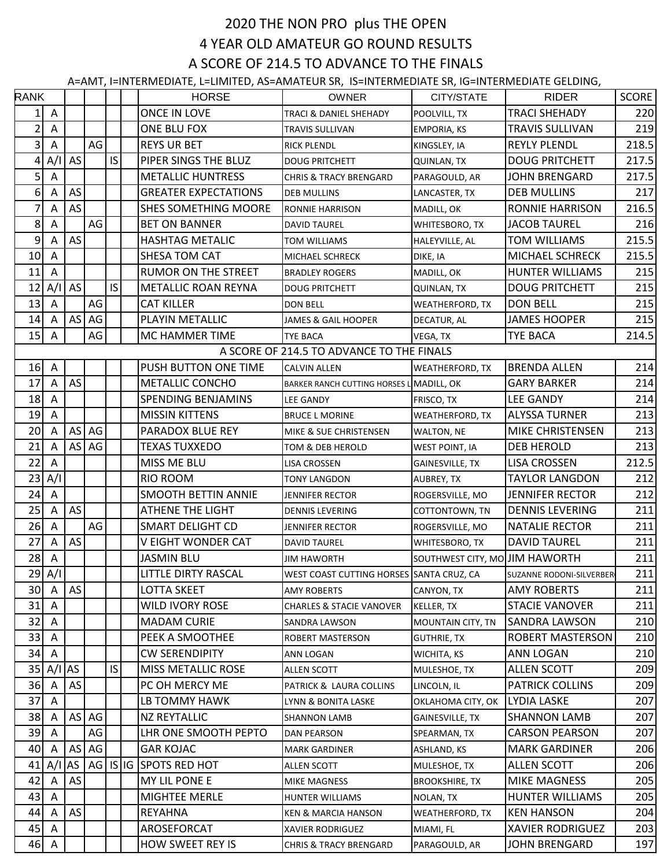## 2020 THE NON PRO plus THE OPEN 4 YEAR OLD AMATEUR GO ROUND RESULTS A SCORE OF 214.5 TO ADVANCE TO THE FINALS

A=AMT, I=INTERMEDIATE, L=LIMITED, AS=AMATEUR SR, IS=INTERMEDIATE SR, IG=INTERMEDIATE GELDING,

| <b>RANK</b>    |                           |           |            |     | <b>HORSE</b>                | <b>OWNER</b>                              | CITY/STATE                     | <b>RIDER</b>             | <b>SCORE</b> |
|----------------|---------------------------|-----------|------------|-----|-----------------------------|-------------------------------------------|--------------------------------|--------------------------|--------------|
| 1              | A                         |           |            |     | <b>ONCE IN LOVE</b>         | TRACI & DANIEL SHEHADY                    | POOLVILL, TX                   | <b>TRACI SHEHADY</b>     | 220          |
| $\overline{c}$ | A                         |           |            |     | ONE BLU FOX                 | <b>TRAVIS SULLIVAN</b>                    | <b>EMPORIA, KS</b>             | <b>TRAVIS SULLIVAN</b>   | 219          |
| $\overline{3}$ | $\boldsymbol{\mathsf{A}}$ |           | AG         |     | <b>REYS UR BET</b>          | <b>RICK PLENDL</b>                        | KINGSLEY, IA                   | <b>REYLY PLENDL</b>      | 218.5        |
| 4              | A/I                       | AS        |            | IS  | PIPER SINGS THE BLUZ        | <b>DOUG PRITCHETT</b>                     | <b>QUINLAN, TX</b>             | <b>DOUG PRITCHETT</b>    | 217.5        |
| 5              | A                         |           |            |     | <b>METALLIC HUNTRESS</b>    | <b>CHRIS &amp; TRACY BRENGARD</b>         | PARAGOULD, AR                  | <b>JOHN BRENGARD</b>     | 217.5        |
| $6 \mid$       | A                         | AS        |            |     | <b>GREATER EXPECTATIONS</b> | DEB MULLINS                               | LANCASTER, TX                  | <b>DEB MULLINS</b>       | 217          |
| 7              | A                         | AS        |            |     | <b>SHES SOMETHING MOORE</b> | <b>RONNIE HARRISON</b>                    | MADILL, OK                     | RONNIE HARRISON          | 216.5        |
| 8              | A                         |           | AG         |     | <b>BET ON BANNER</b>        | <b>DAVID TAUREL</b>                       | WHITESBORO, TX                 | <b>JACOB TAUREL</b>      | 216          |
| 9              | Α                         | AS        |            |     | <b>HASHTAG METALIC</b>      | <b>TOM WILLIAMS</b>                       | HALEYVILLE, AL                 | <b>TOM WILLIAMS</b>      | 215.5        |
| 10             | A                         |           |            |     | SHESA TOM CAT               | MICHAEL SCHRECK                           | DIKE, IA                       | <b>MICHAEL SCHRECK</b>   | 215.5        |
| 11             | Α                         |           |            |     | <b>RUMOR ON THE STREET</b>  | <b>BRADLEY ROGERS</b>                     | MADILL, OK                     | <b>HUNTER WILLIAMS</b>   | 215          |
| 12             | A/I                       | AS        |            | IS. | <b>METALLIC ROAN REYNA</b>  | <b>DOUG PRITCHETT</b>                     | <b>QUINLAN, TX</b>             | <b>DOUG PRITCHETT</b>    | 215          |
| 13             | A                         |           | AG         |     | <b>CAT KILLER</b>           | <b>DON BELL</b>                           | WEATHERFORD, TX                | <b>DON BELL</b>          | 215          |
| 14             | Α                         | AS        | AG         |     | PLAYIN METALLIC             | <b>JAMES &amp; GAIL HOOPER</b>            | DECATUR, AL                    | <b>JAMES HOOPER</b>      | 215          |
| 15             | A                         |           | AG         |     | MC HAMMER TIME              | <b>TYE BACA</b>                           | VEGA, TX                       | <b>TYE BACA</b>          | 214.5        |
|                |                           |           |            |     |                             | A SCORE OF 214.5 TO ADVANCE TO THE FINALS |                                |                          |              |
| 16             | A                         |           |            |     | PUSH BUTTON ONE TIME        | <b>CALVIN ALLEN</b>                       | <b>WEATHERFORD, TX</b>         | <b>BRENDA ALLEN</b>      | 214          |
| 17             | A                         | AS        |            |     | <b>METALLIC CONCHO</b>      | BARKER RANCH CUTTING HORSES L MADILL, OK  |                                | <b>GARY BARKER</b>       | 214          |
| 18             | Α                         |           |            |     | SPENDING BENJAMINS          | LEE GANDY                                 | FRISCO, TX                     | <b>LEE GANDY</b>         | 214          |
| 19             | A                         |           |            |     | <b>MISSIN KITTENS</b>       | <b>BRUCE L MORINE</b>                     | WEATHERFORD, TX                | <b>ALYSSA TURNER</b>     | 213          |
| 20             | Α                         |           | $AS$ $AG$  |     | PARADOX BLUE REY            | MIKE & SUE CHRISTENSEN                    | WALTON, NE                     | <b>MIKE CHRISTENSEN</b>  | 213          |
| 21             | Α                         | AS        | AG         |     | <b>TEXAS TUXXEDO</b>        | TOM & DEB HEROLD                          | <b>WEST POINT, IA</b>          | <b>DEB HEROLD</b>        | 213          |
| 22             | Α                         |           |            |     | MISS ME BLU                 | <b>LISA CROSSEN</b>                       | GAINESVILLE, TX                | <b>LISA CROSSEN</b>      | 212.5        |
| 23             | A/I                       |           |            |     | RIO ROOM                    | <b>TONY LANGDON</b>                       | AUBREY, TX                     | <b>TAYLOR LANGDON</b>    | 212          |
| 24             | A                         |           |            |     | <b>SMOOTH BETTIN ANNIE</b>  | <b>JENNIFER RECTOR</b>                    | ROGERSVILLE, MO                | <b>JENNIFER RECTOR</b>   | 212          |
| 25             | Α                         | AS        |            |     | ATHENE THE LIGHT            | <b>DENNIS LEVERING</b>                    | COTTONTOWN, TN                 | <b>DENNIS LEVERING</b>   | 211          |
| 26             | A                         |           | AG         |     | <b>SMART DELIGHT CD</b>     | <b>JENNIFER RECTOR</b>                    | ROGERSVILLE, MO                | <b>NATALIE RECTOR</b>    | 211          |
| 27             | Α                         | AS        |            |     | V EIGHT WONDER CAT          | <b>DAVID TAUREL</b>                       | WHITESBORO, TX                 | <b>DAVID TAUREL</b>      | 211          |
| 28             | A                         |           |            |     | <b>JASMIN BLU</b>           | <b>JIM HAWORTH</b>                        | SOUTHWEST CITY, MO JIM HAWORTH |                          | 211          |
|                | $29$ A/I                  |           |            |     | LITTLE DIRTY RASCAL         | WEST COAST CUTTING HORSES SANTA CRUZ, CA  |                                | SUZANNE RODONI-SILVERBER | 211          |
| 30             | A                         | AS        |            |     | <b>LOTTA SKEET</b>          | <b>AMY ROBERTS</b>                        | CANYON, TX                     | <b>AMY ROBERTS</b>       | 211          |
| 31             | Α                         |           |            |     | <b>WILD IVORY ROSE</b>      | <b>CHARLES &amp; STACIE VANOVER</b>       | <b>KELLER, TX</b>              | <b>STACIE VANOVER</b>    | 211          |
| 32             | Α                         |           |            |     | <b>MADAM CURIE</b>          | SANDRA LAWSON                             | MOUNTAIN CITY, TN              | <b>SANDRA LAWSON</b>     | 210          |
| 33             | A                         |           |            |     | PEEK A SMOOTHEE             | <b>ROBERT MASTERSON</b>                   | <b>GUTHRIE, TX</b>             | <b>ROBERT MASTERSON</b>  | 210          |
| 34             | A                         |           |            |     | <b>CW SERENDIPITY</b>       | ANN LOGAN                                 | <b>WICHITA, KS</b>             | ANN LOGAN                | 210          |
| 35             | A/I                       | <b>AS</b> |            | IS  | <b>MISS METALLIC ROSE</b>   | ALLEN SCOTT                               | MULESHOE, TX                   | <b>ALLEN SCOTT</b>       | 209          |
| 36             | A                         | AS        |            |     | PC OH MERCY ME              | PATRICK & LAURA COLLINS                   | LINCOLN, IL                    | <b>PATRICK COLLINS</b>   | 209          |
| 37             | Α                         |           |            |     | LB TOMMY HAWK               | LYNN & BONITA LASKE                       | OKLAHOMA CITY, OK              | <b>LYDIA LASKE</b>       | 207          |
| 38             | A                         | AS        | AG         |     | <b>NZ REYTALLIC</b>         | <b>SHANNON LAMB</b>                       | GAINESVILLE, TX                | <b>SHANNON LAMB</b>      | 207          |
| 39             | A                         |           | AG         |     | LHR ONE SMOOTH PEPTO        | DAN PEARSON                               | SPEARMAN, TX                   | <b>CARSON PEARSON</b>    | 207          |
| 40             | Α                         | AS        | AG         |     | <b>GAR KOJAC</b>            | <b>MARK GARDINER</b>                      | ASHLAND, KS                    | <b>MARK GARDINER</b>     | 206          |
| 41             | A/I                       | AS        | $AG$ IS IG |     | <b>SPOTS RED HOT</b>        | <b>ALLEN SCOTT</b>                        | MULESHOE, TX                   | <b>ALLEN SCOTT</b>       | 206          |
| 42             | Α                         | AS        |            |     | MY LIL PONE E               | <b>MIKE MAGNESS</b>                       | <b>BROOKSHIRE, TX</b>          | <b>MIKE MAGNESS</b>      | 205          |
| 43             | Α                         |           |            |     | MIGHTEE MERLE               | HUNTER WILLIAMS                           | NOLAN, TX                      | HUNTER WILLIAMS          | 205          |
| 44             | Α                         | AS        |            |     | <b>REYAHNA</b>              | <b>KEN &amp; MARCIA HANSON</b>            | WEATHERFORD, TX                | <b>KEN HANSON</b>        | 204          |
| 45             | A                         |           |            |     | AROSEFORCAT                 | <b>XAVIER RODRIGUEZ</b>                   | MIAMI, FL                      | <b>XAVIER RODRIGUEZ</b>  | 203          |
| 46             | A                         |           |            |     | HOW SWEET REY IS            | <b>CHRIS &amp; TRACY BRENGARD</b>         | PARAGOULD, AR                  | <b>JOHN BRENGARD</b>     | 197          |